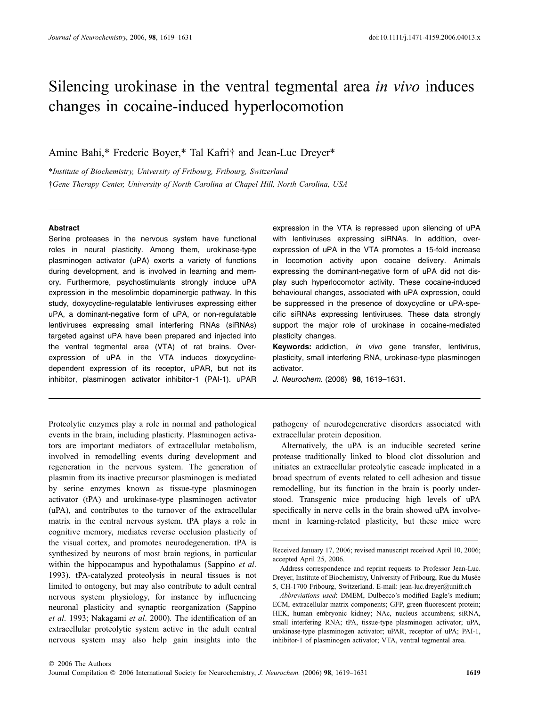# Silencing urokinase in the ventral tegmental area in vivo induces changes in cocaine-induced hyperlocomotion

Amine Bahi,\* Frederic Boyer,\* Tal Kafri† and Jean-Luc Dreyer\*

\*Institute of Biochemistry, University of Fribourg, Fribourg, Switzerland -Gene Therapy Center, University of North Carolina at Chapel Hill, North Carolina, USA

## Abstract

Serine proteases in the nervous system have functional roles in neural plasticity. Among them, urokinase-type plasminogen activator (uPA) exerts a variety of functions during development, and is involved in learning and memory. Furthermore, psychostimulants strongly induce uPA expression in the mesolimbic dopaminergic pathway. In this study, doxycycline-regulatable lentiviruses expressing either uPA, a dominant-negative form of uPA, or non-regulatable lentiviruses expressing small interfering RNAs (siRNAs) targeted against uPA have been prepared and injected into the ventral tegmental area (VTA) of rat brains. Overexpression of uPA in the VTA induces doxycyclinedependent expression of its receptor, uPAR, but not its inhibitor, plasminogen activator inhibitor-1 (PAI-1). uPAR

Proteolytic enzymes play a role in normal and pathological events in the brain, including plasticity. Plasminogen activators are important mediators of extracellular metabolism, involved in remodelling events during development and regeneration in the nervous system. The generation of plasmin from its inactive precursor plasminogen is mediated by serine enzymes known as tissue-type plasminogen activator (tPA) and urokinase-type plasminogen activator (uPA), and contributes to the turnover of the extracellular matrix in the central nervous system. tPA plays a role in cognitive memory, mediates reverse occlusion plasticity of the visual cortex, and promotes neurodegeneration. tPA is synthesized by neurons of most brain regions, in particular within the hippocampus and hypothalamus (Sappino et al. 1993). tPA-catalyzed proteolysis in neural tissues is not limited to ontogeny, but may also contribute to adult central nervous system physiology, for instance by influencing neuronal plasticity and synaptic reorganization (Sappino et al. 1993; Nakagami et al. 2000). The identification of an extracellular proteolytic system active in the adult central nervous system may also help gain insights into the expression in the VTA is repressed upon silencing of uPA with lentiviruses expressing siRNAs. In addition, overexpression of uPA in the VTA promotes a 15-fold increase in locomotion activity upon cocaine delivery. Animals expressing the dominant-negative form of uPA did not display such hyperlocomotor activity. These cocaine-induced behavioural changes, associated with uPA expression, could be suppressed in the presence of doxycycline or uPA-specific siRNAs expressing lentiviruses. These data strongly support the major role of urokinase in cocaine-mediated plasticity changes.

Keywords: addiction, in vivo gene transfer, lentivirus, plasticity, small interfering RNA, urokinase-type plasminogen activator.

J. Neurochem. (2006) 98, 1619–1631.

pathogeny of neurodegenerative disorders associated with extracellular protein deposition.

Alternatively, the uPA is an inducible secreted serine protease traditionally linked to blood clot dissolution and initiates an extracellular proteolytic cascade implicated in a broad spectrum of events related to cell adhesion and tissue remodelling, but its function in the brain is poorly understood. Transgenic mice producing high levels of uPA specifically in nerve cells in the brain showed uPA involvement in learning-related plasticity, but these mice were

Received January 17, 2006; revised manuscript received April 10, 2006; accepted April 25, 2006.

Address correspondence and reprint requests to Professor Jean-Luc. Dreyer, Institute of Biochemistry, University of Fribourg, Rue du Musée 5, CH-1700 Fribourg, Switzerland. E-mail: jean-luc.dreyer@unifr.ch

Abbreviations used: DMEM, Dulbecco's modified Eagle's medium; ECM, extracellular matrix components; GFP, green fluorescent protein; HEK, human embryonic kidney; NAc, nucleus accumbens; siRNA, small interfering RNA; tPA, tissue-type plasminogen activator; uPA, urokinase-type plasminogen activator; uPAR, receptor of uPA; PAI-1, inhibitor-1 of plasminogen activator; VTA, ventral tegmental area.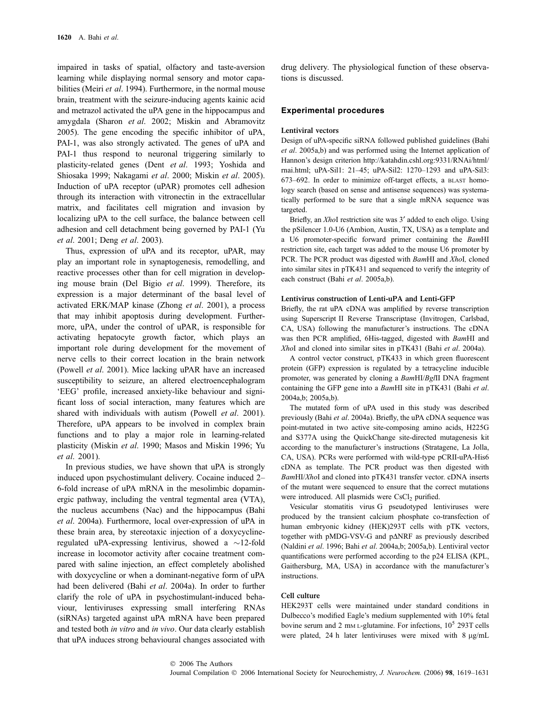impaired in tasks of spatial, olfactory and taste-aversion learning while displaying normal sensory and motor capabilities (Meiri *et al.* 1994). Furthermore, in the normal mouse brain, treatment with the seizure-inducing agents kainic acid and metrazol activated the uPA gene in the hippocampus and amygdala (Sharon et al. 2002; Miskin and Abramovitz 2005). The gene encoding the specific inhibitor of uPA, PAI-1, was also strongly activated. The genes of uPA and PAI-1 thus respond to neuronal triggering similarly to plasticity-related genes (Dent et al. 1993; Yoshida and Shiosaka 1999; Nakagami et al. 2000; Miskin et al. 2005). Induction of uPA receptor (uPAR) promotes cell adhesion through its interaction with vitronectin in the extracellular matrix, and facilitates cell migration and invasion by localizing uPA to the cell surface, the balance between cell adhesion and cell detachment being governed by PAI-1 (Yu et al. 2001; Deng et al. 2003).

Thus, expression of uPA and its receptor, uPAR, may play an important role in synaptogenesis, remodelling, and reactive processes other than for cell migration in developing mouse brain (Del Bigio et al. 1999). Therefore, its expression is a major determinant of the basal level of activated ERK/MAP kinase (Zhong et al. 2001), a process that may inhibit apoptosis during development. Furthermore, uPA, under the control of uPAR, is responsible for activating hepatocyte growth factor, which plays an important role during development for the movement of nerve cells to their correct location in the brain network (Powell et al. 2001). Mice lacking uPAR have an increased susceptibility to seizure, an altered electroencephalogram 'EEG' profile, increased anxiety-like behaviour and significant loss of social interaction, many features which are shared with individuals with autism (Powell et al. 2001). Therefore, uPA appears to be involved in complex brain functions and to play a major role in learning-related plasticity (Miskin et al. 1990; Masos and Miskin 1996; Yu et al. 2001).

In previous studies, we have shown that uPA is strongly induced upon psychostimulant delivery. Cocaine induced 2– 6-fold increase of uPA mRNA in the mesolimbic dopaminergic pathway, including the ventral tegmental area (VTA), the nucleus accumbens (Nac) and the hippocampus (Bahi et al. 2004a). Furthermore, local over-expression of uPA in these brain area, by stereotaxic injection of a doxycyclineregulated uPA-expressing lentivirus, showed a  $\sim$ 12-fold increase in locomotor activity after cocaine treatment compared with saline injection, an effect completely abolished with doxycycline or when a dominant-negative form of uPA had been delivered (Bahi et al. 2004a). In order to further clarify the role of uPA in psychostimulant-induced behaviour, lentiviruses expressing small interfering RNAs (siRNAs) targeted against uPA mRNA have been prepared and tested both in vitro and in vivo. Our data clearly establish that uPA induces strong behavioural changes associated with drug delivery. The physiological function of these observations is discussed.

#### Experimental procedures

#### Lentiviral vectors

Design of uPA-specific siRNA followed published guidelines (Bahi et al. 2005a,b) and was performed using the Internet application of Hannon's design criterion http://katahdin.cshl.org:9331/RNAi/html/ rnai.html; uPA-Sil1: 21–45; uPA-Sil2: 1270–1293 and uPA-Sil3: 673–692. In order to minimize off-target effects, a BLAST homology search (based on sense and antisense sequences) was systematically performed to be sure that a single mRNA sequence was targeted.

Briefly, an XhoI restriction site was 3' added to each oligo. Using the pSilencer 1.0-U6 (Ambion, Austin, TX, USA) as a template and a U6 promoter-specific forward primer containing the BamHI restriction site, each target was added to the mouse U6 promoter by PCR. The PCR product was digested with BamHI and XhoI, cloned into similar sites in pTK431 and sequenced to verify the integrity of each construct (Bahi et al. 2005a,b).

#### Lentivirus construction of Lenti-uPA and Lenti-GFP

Briefly, the rat uPA cDNA was amplified by reverse transcription using Superscript II Reverse Transcriptase (Invitrogen, Carlsbad, CA, USA) following the manufacturer's instructions. The cDNA was then PCR amplified, 6His-tagged, digested with BamHI and XhoI and cloned into similar sites in pTK431 (Bahi et al. 2004a).

A control vector construct, pTK433 in which green fluorescent protein (GFP) expression is regulated by a tetracycline inducible promoter, was generated by cloning a BamHI/BglII DNA fragment containing the GFP gene into a BamHI site in pTK431 (Bahi et al. 2004a,b; 2005a,b).

The mutated form of uPA used in this study was described previously (Bahi et al. 2004a). Briefly, the uPA cDNA sequence was point-mutated in two active site-composing amino acids, H225G and S377A using the QuickChange site-directed mutagenesis kit according to the manufacturer's instructions (Stratagene, La Jolla, CA, USA). PCRs were performed with wild-type pCRII-uPA-His6 cDNA as template. The PCR product was then digested with BamHI/XhoI and cloned into pTK431 transfer vector. cDNA inserts of the mutant were sequenced to ensure that the correct mutations were introduced. All plasmids were CsCl<sub>2</sub> purified.

Vesicular stomatitis virus G pseudotyped lentiviruses were produced by the transient calcium phosphate co-transfection of human embryonic kidney (HEK)293T cells with pTK vectors, together with pMDG-VSV-G and  $p\Delta NRF$  as previously described (Naldini et al. 1996; Bahi et al. 2004a,b; 2005a,b). Lentiviral vector quantifications were performed according to the p24 ELISA (KPL, Gaithersburg, MA, USA) in accordance with the manufacturer's instructions.

## Cell culture

HEK293T cells were maintained under standard conditions in Dulbecco's modified Eagle's medium supplemented with 10% fetal bovine serum and 2 mm L-glutamine. For infections,  $10^5$  293T cells were plated, 24 h later lentiviruses were mixed with  $8 \mu g/mL$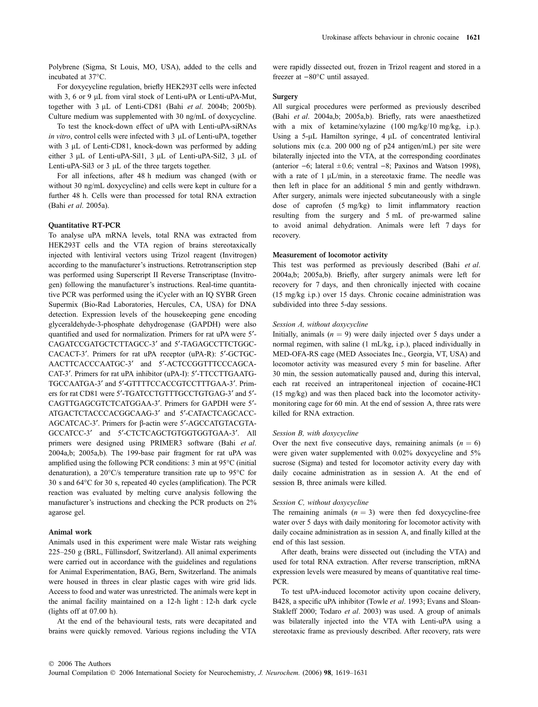Polybrene (Sigma, St Louis, MO, USA), added to the cells and incubated at 37°C.

For doxycycline regulation, briefly HEK293T cells were infected with 3, 6 or 9 uL from viral stock of Lenti-uPA or Lenti-uPA-Mut, together with  $3 \mu L$  of Lenti-CD81 (Bahi et al. 2004b; 2005b). Culture medium was supplemented with 30 ng/mL of doxycycline.

To test the knock-down effect of uPA with Lenti-uPA-siRNAs in vitro, control cells were infected with  $3 \mu L$  of Lenti-uPA, together with 3 uL of Lenti-CD81, knock-down was performed by adding either 3 µL of Lenti-uPA-Sil1, 3 µL of Lenti-uPA-Sil2, 3 µL of Lenti-uPA-Sil3 or  $3 \mu L$  of the three targets together.

For all infections, after 48 h medium was changed (with or without 30 ng/mL doxycycline) and cells were kept in culture for a further 48 h. Cells were than processed for total RNA extraction (Bahi et al. 2005a).

#### Quantitative RT-PCR

To analyse uPA mRNA levels, total RNA was extracted from HEK293T cells and the VTA region of brains stereotaxically injected with lentiviral vectors using Trizol reagent (Invitrogen) according to the manufacturer's instructions. Retrotranscription step was performed using Superscript II Reverse Transcriptase (Invitrogen) following the manufacturer's instructions. Real-time quantitative PCR was performed using the iCycler with an IQ SYBR Green Supermix (Bio-Rad Laboratories, Hercules, CA, USA) for DNA detection. Expression levels of the housekeeping gene encoding glyceraldehyde-3-phosphate dehydrogenase (GAPDH) were also quantified and used for normalization. Primers for rat uPA were 5¢- CAGATCCGATGCTCTTAGCC-3' and 5'-TAGAGCCTTCTGGC-CACACT-3'. Primers for rat uPA receptor (uPA-R): 5'-GCTGC-AACTTCACCCAATGC-3' and 5'-ACTCCGGTTTCCCAGCA-CAT-3'. Primers for rat uPA inhibitor (uPA-I): 5'-TTCCTTGAATG-TGCCAATGA-3' and 5'-GTTTTCCACCGTCCTTTGAA-3'. Primers for rat CD81 were 5'-TGATCCTGTTTGCCTGTGAG-3' and 5'-CAGTTGAGCGTCTCATGGAA-3'. Primers for GAPDH were 5'-ATGACTCTACCCACGGCAAG-3¢ and 5¢-CATACTCAGCACC-AGCATCAC-3¢. Primers for b-actin were 5¢-AGCCATGTACGTA-GCCATCC-3' and 5'-CTCTCAGCTGTGGTGGTGAA-3'. All primers were designed using PRIMER3 software (Bahi et al. 2004a,b; 2005a,b). The 199-base pair fragment for rat uPA was amplified using the following PCR conditions:  $3 \text{ min}$  at  $95^{\circ}$ C (initial denaturation), a 20°C/s temperature transition rate up to 95°C for 30 s and  $64^{\circ}$ C for 30 s, repeated 40 cycles (amplification). The PCR reaction was evaluated by melting curve analysis following the manufacturer's instructions and checking the PCR products on 2% agarose gel.

#### Animal work

Animals used in this experiment were male Wistar rats weighing 225–250 g (BRL, Füllinsdorf, Switzerland). All animal experiments were carried out in accordance with the guidelines and regulations for Animal Experimentation, BAG, Bern, Switzerland. The animals were housed in threes in clear plastic cages with wire grid lids. Access to food and water was unrestricted. The animals were kept in the animal facility maintained on a 12-h light : 12-h dark cycle (lights off at 07.00 h).

At the end of the behavioural tests, rats were decapitated and brains were quickly removed. Various regions including the VTA were rapidly dissected out, frozen in Trizol reagent and stored in a freezer at  $-80^{\circ}$ C until assayed.

#### **Surgery**

All surgical procedures were performed as previously described (Bahi et al. 2004a,b; 2005a,b). Briefly, rats were anaesthetized with a mix of ketamine/xylazine (100 mg/kg/10 mg/kg, i.p.). Using a  $5-\mu L$  Hamilton syringe,  $4 \mu L$  of concentrated lentiviral solutions mix (c.a. 200 000 ng of p24 antigen/mL) per site were bilaterally injected into the VTA, at the corresponding coordinates (anterior  $-6$ ; lateral  $\pm 0.6$ ; ventral  $-8$ ; Paxinos and Watson 1998), with a rate of  $1 \mu L/min$ , in a stereotaxic frame. The needle was then left in place for an additional 5 min and gently withdrawn. After surgery, animals were injected subcutaneously with a single dose of caprofen (5 mg/kg) to limit inflammatory reaction resulting from the surgery and 5 mL of pre-warmed saline to avoid animal dehydration. Animals were left 7 days for recovery.

#### Measurement of locomotor activity

This test was performed as previously described (Bahi et al. 2004a,b; 2005a,b). Briefly, after surgery animals were left for recovery for 7 days, and then chronically injected with cocaine (15 mg/kg i.p.) over 15 days. Chronic cocaine administration was subdivided into three 5-day sessions.

#### Session A, without doxycycline

Initially, animals  $(n = 9)$  were daily injected over 5 days under a normal regimen, with saline (1 mL/kg, i.p.), placed individually in MED-OFA-RS cage (MED Associates Inc., Georgia, VT, USA) and locomotor activity was measured every 5 min for baseline. After 30 min, the session automatically paused and, during this interval, each rat received an intraperitoneal injection of cocaine-HCl (15 mg/kg) and was then placed back into the locomotor activitymonitoring cage for 60 min. At the end of session A, three rats were killed for RNA extraction.

#### Session B, with doxycycline

Over the next five consecutive days, remaining animals  $(n = 6)$ were given water supplemented with 0.02% doxycycline and 5% sucrose (Sigma) and tested for locomotor activity every day with daily cocaine administration as in session A. At the end of session B, three animals were killed.

#### Session C, without doxycycline

The remaining animals  $(n = 3)$  were then fed doxycycline-free water over 5 days with daily monitoring for locomotor activity with daily cocaine administration as in session A, and finally killed at the end of this last session.

After death, brains were dissected out (including the VTA) and used for total RNA extraction. After reverse transcription, mRNA expression levels were measured by means of quantitative real time-PCR.

To test uPA-induced locomotor activity upon cocaine delivery, B428, a specific uPA inhibitor (Towle et al. 1993; Evans and Sloan-Stakleff 2000; Todaro et al. 2003) was used. A group of animals was bilaterally injected into the VTA with Lenti-uPA using a stereotaxic frame as previously described. After recovery, rats were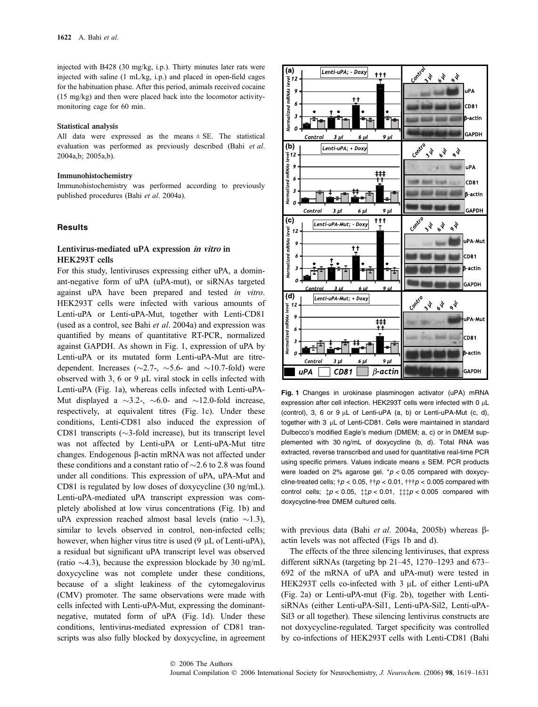injected with B428 (30 mg/kg, i.p.). Thirty minutes later rats were injected with saline (1 mL/kg, i.p.) and placed in open-field cages for the habituation phase. After this period, animals received cocaine (15 mg/kg) and then were placed back into the locomotor activitymonitoring cage for 60 min.

#### Statistical analysis

All data were expressed as the means  $\pm$  SE. The statistical evaluation was performed as previously described (Bahi et al. 2004a,b; 2005a,b).

#### Immunohistochemistry

Immunohistochemistry was performed according to previously published procedures (Bahi et al. 2004a).

## **Results**

# Lentivirus-mediated uPA expression in vitro in HEK293T cells

For this study, lentiviruses expressing either uPA, a dominant-negative form of uPA (uPA-mut), or siRNAs targeted against uPA have been prepared and tested in vitro. HEK293T cells were infected with various amounts of Lenti-uPA or Lenti-uPA-Mut, together with Lenti-CD81 (used as a control, see Bahi et al. 2004a) and expression was quantified by means of quantitative RT-PCR, normalized against GAPDH. As shown in Fig. 1, expression of uPA by Lenti-uPA or its mutated form Lenti-uPA-Mut are titredependent. Increases ( $\sim$ 2.7-,  $\sim$ 5.6- and  $\sim$ 10.7-fold) were observed with 3, 6 or 9  $\mu$ L viral stock in cells infected with Lenti-uPA (Fig. 1a), whereas cells infected with Lenti-uPA-Mut displayed a  $\sim$ 3.2-,  $\sim$ 6.0- and  $\sim$ 12.0-fold increase, respectively, at equivalent titres (Fig. 1c). Under these conditions, Lenti-CD81 also induced the expression of CD81 transcripts ( $\sim$ 3-fold increase), but its transcript level was not affected by Lenti-uPA or Lenti-uPA-Mut titre changes. Endogenous β-actin mRNA was not affected under these conditions and a constant ratio of  $\sim$  2.6 to 2.8 was found under all conditions. This expression of uPA, uPA-Mut and CD81 is regulated by low doses of doxycycline (30 ng/mL). Lenti-uPA-mediated uPA transcript expression was completely abolished at low virus concentrations (Fig. 1b) and uPA expression reached almost basal levels (ratio  $\sim$ 1.3), similar to levels observed in control, non-infected cells; however, when higher virus titre is used  $(9 \mu L)$  of Lenti-uPA), a residual but significant uPA transcript level was observed (ratio  $\sim$ 4.3), because the expression blockade by 30 ng/mL doxycycline was not complete under these conditions, because of a slight leakiness of the cytomegalovirus (CMV) promoter. The same observations were made with cells infected with Lenti-uPA-Mut, expressing the dominantnegative, mutated form of uPA (Fig. 1d). Under these conditions, lentivirus-mediated expression of CD81 transcripts was also fully blocked by doxycycline, in agreement



Fig. 1 Changes in urokinase plasminogen activator (uPA) mRNA expression after cell infection. HEK293T cells were infected with 0 µL (control), 3, 6 or 9  $\mu$ L of Lenti-uPA (a, b) or Lenti-uPA-Mut (c, d), together with 3 µL of Lenti-CD81. Cells were maintained in standard Dulbecco's modified Eagle's medium (DMEM; a, c) or in DMEM supplemented with 30 ng/mL of doxycycline (b, d). Total RNA was extracted, reverse transcribed and used for quantitative real-time PCR using specific primers. Values indicate means  $\pm$  SEM. PCR products were loaded on 2% agarose gel.  $p < 0.05$  compared with doxycycline-treated cells;  $\uparrow p < 0.05$ ,  $\uparrow \uparrow p < 0.01$ ,  $\uparrow \uparrow \uparrow p < 0.005$  compared with control cells;  $\uparrow p < 0.05$ ,  $\uparrow \uparrow p < 0.01$ ,  $\uparrow \uparrow \uparrow p < 0.005$  compared with doxycycline-free DMEM cultured cells.

with previous data (Bahi et al. 2004a, 2005b) whereas βactin levels was not affected (Figs 1b and d).

The effects of the three silencing lentiviruses, that express different siRNAs (targeting bp 21–45, 1270–1293 and 673– 692 of the mRNA of uPA and uPA-mut) were tested in HEK293T cells co-infected with 3 µL of either Lenti-uPA (Fig. 2a) or Lenti-uPA-mut (Fig. 2b), together with LentisiRNAs (either Lenti-uPA-Sil1, Lenti-uPA-Sil2, Lenti-uPA-Sil3 or all together). These silencing lentivirus constructs are not doxycycline-regulated. Target specificity was controlled by co-infections of HEK293T cells with Lenti-CD81 (Bahi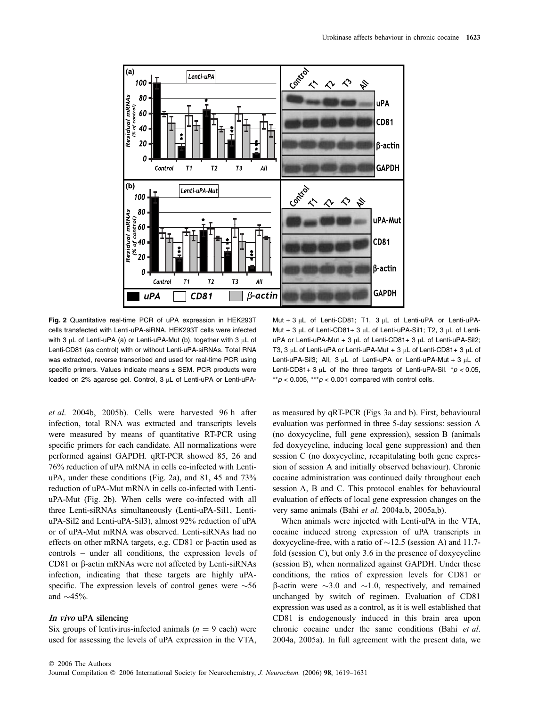

Fig. 2 Quantitative real-time PCR of uPA expression in HEK293T cells transfected with Lenti-uPA-siRNA. HEK293T cells were infected with 3  $\mu$ L of Lenti-uPA (a) or Lenti-uPA-Mut (b), together with 3  $\mu$ L of Lenti-CD81 (as control) with or without Lenti-uPA-siRNAs. Total RNA was extracted, reverse transcribed and used for real-time PCR using specific primers. Values indicate means ± SEM. PCR products were loaded on 2% agarose gel. Control, 3 µL of Lenti-uPA or Lenti-uPA-

et al. 2004b, 2005b). Cells were harvested 96 h after infection, total RNA was extracted and transcripts levels were measured by means of quantitative RT-PCR using specific primers for each candidate. All normalizations were performed against GAPDH. qRT-PCR showed 85, 26 and 76% reduction of uPA mRNA in cells co-infected with LentiuPA, under these conditions (Fig. 2a), and 81, 45 and 73% reduction of uPA-Mut mRNA in cells co-infected with LentiuPA-Mut (Fig. 2b). When cells were co-infected with all three Lenti-siRNAs simultaneously (Lenti-uPA-Sil1, LentiuPA-Sil2 and Lenti-uPA-Sil3), almost 92% reduction of uPA or of uPA-Mut mRNA was observed. Lenti-siRNAs had no effects on other mRNA targets, e.g. CD81 or  $\beta$ -actin used as controls – under all conditions, the expression levels of CD81 or β-actin mRNAs were not affected by Lenti-siRNAs infection, indicating that these targets are highly uPAspecific. The expression levels of control genes were  $\sim 56$ and  $\sim$ 45%.

# In vivo uPA silencing

Six groups of lentivirus-infected animals ( $n = 9$  each) were used for assessing the levels of uPA expression in the VTA,

Mut + 3 µL of Lenti-CD81; T1, 3 µL of Lenti-uPA or Lenti-uPA-Mut + 3 µL of Lenti-CD81+ 3 µL of Lenti-uPA-Sil1; T2, 3 µL of LentiuPA or Lenti-uPA-Mut + 3 µL of Lenti-CD81+ 3 µL of Lenti-uPA-Sil2; T3, 3 µL of Lenti-uPA or Lenti-uPA-Mut + 3 µL of Lenti-CD81+ 3 µL of Lenti-uPA-Sil3; All, 3  $\mu$ L of Lenti-uPA or Lenti-uPA-Mut + 3  $\mu$ L of Lenti-CD81+ 3  $\mu$ L of the three targets of Lenti-uPA-Sil. \* $p < 0.05$ , \*\*p < 0.005, \*\*\*p < 0.001 compared with control cells.

as measured by qRT-PCR (Figs 3a and b). First, behavioural evaluation was performed in three 5-day sessions: session A (no doxycycline, full gene expression), session B (animals fed doxycycline, inducing local gene suppression) and then session C (no doxycycline, recapitulating both gene expression of session A and initially observed behaviour). Chronic cocaine administration was continued daily throughout each session A, B and C. This protocol enables for behavioural evaluation of effects of local gene expression changes on the very same animals (Bahi et al. 2004a,b, 2005a,b).

When animals were injected with Lenti-uPA in the VTA, cocaine induced strong expression of uPA transcripts in doxycycline-free, with a ratio of  $\sim$  12.5 (session A) and 11.7fold (session C), but only 3.6 in the presence of doxycycline (session B), when normalized against GAPDH. Under these conditions, the ratios of expression levels for CD81 or  $\beta$ -actin were  $\sim$ 3.0 and  $\sim$ 1.0, respectively, and remained unchanged by switch of regimen. Evaluation of CD81 expression was used as a control, as it is well established that CD81 is endogenously induced in this brain area upon chronic cocaine under the same conditions (Bahi et al. 2004a, 2005a). In full agreement with the present data, we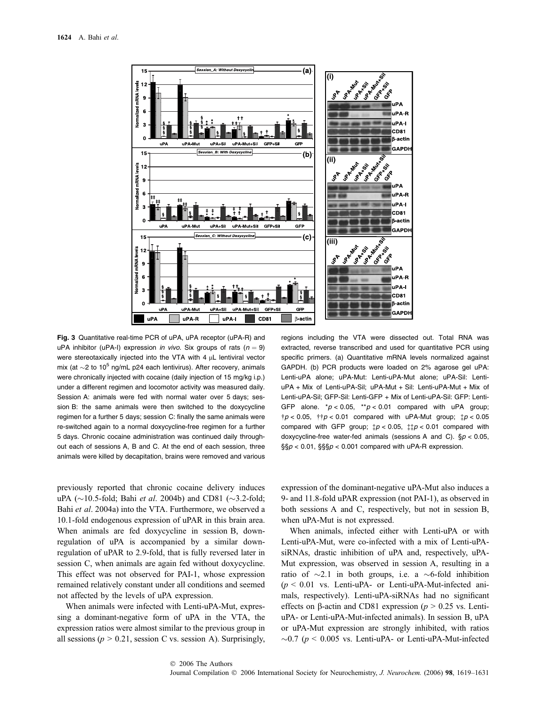

Fig. 3 Quantitative real-time PCR of uPA, uPA receptor (uPA-R) and uPA inhibitor (uPA-I) expression in vivo. Six groups of rats ( $n = 9$ ) were stereotaxically injected into the VTA with 4  $\mu$ L lentiviral vector mix (at  $\sim$ 2 to 10<sup>5</sup> ng/mL p24 each lentivirus). After recovery, animals were chronically injected with cocaine (daily injection of 15 mg/kg i.p.) under a different regimen and locomotor activity was measured daily. Session A: animals were fed with normal water over 5 days; session B: the same animals were then switched to the doxycycline regimen for a further 5 days; session C: finally the same animals were re-switched again to a normal doxycycline-free regimen for a further 5 days. Chronic cocaine administration was continued daily throughout each of sessions A, B and C. At the end of each session, three animals were killed by decapitation, brains were removed and various

previously reported that chronic cocaine delivery induces uPA ( $\sim$ 10.5-fold; Bahi et al. 2004b) and CD81 ( $\sim$ 3.2-fold; Bahi et al. 2004a) into the VTA. Furthermore, we observed a 10.1-fold endogenous expression of uPAR in this brain area. When animals are fed doxycycline in session B, downregulation of uPA is accompanied by a similar downregulation of uPAR to 2.9-fold, that is fully reversed later in session C, when animals are again fed without doxycycline. This effect was not observed for PAI-1, whose expression remained relatively constant under all conditions and seemed not affected by the levels of uPA expression.

When animals were infected with Lenti-uPA-Mut, expressing a dominant-negative form of uPA in the VTA, the expression ratios were almost similar to the previous group in all sessions ( $p > 0.21$ , session C vs. session A). Surprisingly,

regions including the VTA were dissected out. Total RNA was extracted, reverse transcribed and used for quantitative PCR using specific primers. (a) Quantitative mRNA levels normalized against GAPDH. (b) PCR products were loaded on 2% agarose gel uPA: Lenti-uPA alone; uPA-Mut: Lenti-uPA-Mut alone; uPA-Sil: LentiuPA + Mix of Lenti-uPA-Sil; uPA-Mut + Sil: Lenti-uPA-Mut + Mix of Lenti-uPA-Sil; GFP-Sil: Lenti-GFP + Mix of Lenti-uPA-Sil: GFP: Lenti-GFP alone.  $p < 0.05$ ,  $p < 0.01$  compared with uPA group;  $\uparrow p$  < 0.05,  $\uparrow \uparrow p$  < 0.01 compared with uPA-Mut group;  $\downarrow p$  < 0.05 compared with GFP group;  $\uparrow p$  < 0.05,  $\uparrow \uparrow p$  < 0.01 compared with doxycycline-free water-fed animals (sessions A and C).  $\S p < 0.05$ ,  $\S$ s $p$  < 0.01,  $\S$ § $p$  < 0.001 compared with uPA-R expression.

expression of the dominant-negative uPA-Mut also induces a 9- and 11.8-fold uPAR expression (not PAI-1), as observed in both sessions A and C, respectively, but not in session B, when uPA-Mut is not expressed.

When animals, infected either with Lenti-uPA or with Lenti-uPA-Mut, were co-infected with a mix of Lenti-uPAsiRNAs, drastic inhibition of uPA and, respectively, uPA-Mut expression, was observed in session A, resulting in a ratio of  $\sim$ 2.1 in both groups, i.e. a  $\sim$  6-fold inhibition  $(p < 0.01$  vs. Lenti-uPA- or Lenti-uPA-Mut-infected animals, respectively). Lenti-uPA-siRNAs had no significant effects on  $\beta$ -actin and CD81 expression ( $p > 0.25$  vs. LentiuPA- or Lenti-uPA-Mut-infected animals). In session B, uPA or uPA-Mut expression are strongly inhibited, with ratios ~0.7 ( $p$  < 0.005 vs. Lenti-uPA- or Lenti-uPA-Mut-infected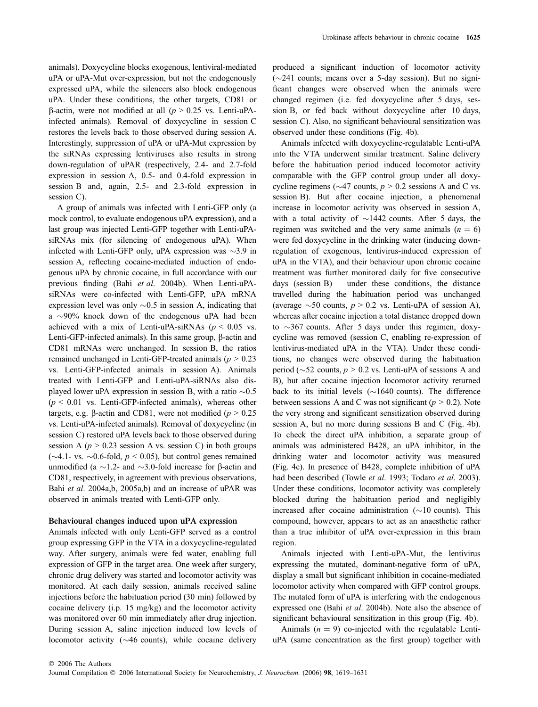animals). Doxycycline blocks exogenous, lentiviral-mediated uPA or uPA-Mut over-expression, but not the endogenously expressed uPA, while the silencers also block endogenous uPA. Under these conditions, the other targets, CD81 or B-actin, were not modified at all  $(p > 0.25$  vs. Lenti-uPAinfected animals). Removal of doxycycline in session C restores the levels back to those observed during session A. Interestingly, suppression of uPA or uPA-Mut expression by the siRNAs expressing lentiviruses also results in strong down-regulation of uPAR (respectively, 2.4- and 2.7-fold expression in session A, 0.5- and 0.4-fold expression in session B and, again, 2.5- and 2.3-fold expression in session C).

A group of animals was infected with Lenti-GFP only (a mock control, to evaluate endogenous uPA expression), and a last group was injected Lenti-GFP together with Lenti-uPAsiRNAs mix (for silencing of endogenous uPA). When infected with Lenti-GFP only, uPA expression was  $\sim$ 3.9 in session A, reflecting cocaine-mediated induction of endogenous uPA by chronic cocaine, in full accordance with our previous finding (Bahi et al. 2004b). When Lenti-uPAsiRNAs were co-infected with Lenti-GFP, uPA mRNA expression level was only  $\sim 0.5$  in session A, indicating that  $a \sim 90\%$  knock down of the endogenous uPA had been achieved with a mix of Lenti-uPA-siRNAs ( $p < 0.05$  vs. Lenti-GFP-infected animals). In this same group,  $\beta$ -actin and CD81 mRNAs were unchanged. In session B, the ratios remained unchanged in Lenti-GFP-treated animals ( $p > 0.23$ ) vs. Lenti-GFP-infected animals in session A). Animals treated with Lenti-GFP and Lenti-uPA-siRNAs also displayed lower uPA expression in session B, with a ratio  $\sim 0.5$  $(p < 0.01$  vs. Lenti-GFP-infected animals), whereas other targets, e.g.  $\beta$ -actin and CD81, were not modified ( $p > 0.25$ ) vs. Lenti-uPA-infected animals). Removal of doxycycline (in session C) restored uPA levels back to those observed during session A ( $p > 0.23$  session A vs. session C) in both groups ( $\sim$ 4.1- vs.  $\sim$ 0.6-fold,  $p$  < 0.05), but control genes remained unmodified (a  $\sim$ 1.2- and  $\sim$ 3.0-fold increase for  $\beta$ -actin and CD81, respectively, in agreement with previous observations, Bahi et al. 2004a,b, 2005a,b) and an increase of uPAR was observed in animals treated with Lenti-GFP only.

#### Behavioural changes induced upon uPA expression

Animals infected with only Lenti-GFP served as a control group expressing GFP in the VTA in a doxycycline-regulated way. After surgery, animals were fed water, enabling full expression of GFP in the target area. One week after surgery, chronic drug delivery was started and locomotor activity was monitored. At each daily session, animals received saline injections before the habituation period (30 min) followed by cocaine delivery (i.p. 15 mg/kg) and the locomotor activity was monitored over 60 min immediately after drug injection. During session A, saline injection induced low levels of locomotor activity  $(\sim 46 \text{ counts})$ , while cocaine delivery

produced a significant induction of locomotor activity  $(\sim]241$  counts; means over a 5-day session). But no significant changes were observed when the animals were changed regimen (i.e. fed doxycycline after 5 days, session B, or fed back without doxycycline after 10 days, session C). Also, no significant behavioural sensitization was observed under these conditions (Fig. 4b).

Animals infected with doxycycline-regulatable Lenti-uPA into the VTA underwent similar treatment. Saline delivery before the habituation period induced locomotor activity comparable with the GFP control group under all doxycycline regimens ( $\sim$ 47 counts,  $p > 0.2$  sessions A and C vs. session B). But after cocaine injection, a phenomenal increase in locomotor activity was observed in session A, with a total activity of  $\sim$  1442 counts. After 5 days, the regimen was switched and the very same animals  $(n = 6)$ were fed doxycycline in the drinking water (inducing downregulation of exogenous, lentivirus-induced expression of uPA in the VTA), and their behaviour upon chronic cocaine treatment was further monitored daily for five consecutive days (session B) – under these conditions, the distance travelled during the habituation period was unchanged (average  $\sim 50$  counts,  $p > 0.2$  vs. Lenti-uPA of session A), whereas after cocaine injection a total distance dropped down to  $\sim$ 367 counts. After 5 days under this regimen, doxycycline was removed (session C, enabling re-expression of lentivirus-mediated uPA in the VTA). Under these conditions, no changes were observed during the habituation period ( $\sim$ 52 counts,  $p > 0.2$  vs. Lenti-uPA of sessions A and B), but after cocaine injection locomotor activity returned back to its initial levels  $(\sim] 1640$  counts). The difference between sessions A and C was not significant ( $p > 0.2$ ). Note the very strong and significant sensitization observed during session A, but no more during sessions B and C (Fig. 4b). To check the direct uPA inhibition, a separate group of animals was administered B428, an uPA inhibitor, in the drinking water and locomotor activity was measured (Fig. 4c). In presence of B428, complete inhibition of uPA had been described (Towle *et al.* 1993; Todaro *et al.* 2003). Under these conditions, locomotor activity was completely blocked during the habituation period and negligibly increased after cocaine administration  $(\sim]10$  counts). This compound, however, appears to act as an anaesthetic rather than a true inhibitor of uPA over-expression in this brain region.

Animals injected with Lenti-uPA-Mut, the lentivirus expressing the mutated, dominant-negative form of uPA, display a small but significant inhibition in cocaine-mediated locomotor activity when compared with GFP control groups. The mutated form of uPA is interfering with the endogenous expressed one (Bahi et al. 2004b). Note also the absence of significant behavioural sensitization in this group (Fig. 4b).

Animals  $(n = 9)$  co-injected with the regulatable LentiuPA (same concentration as the first group) together with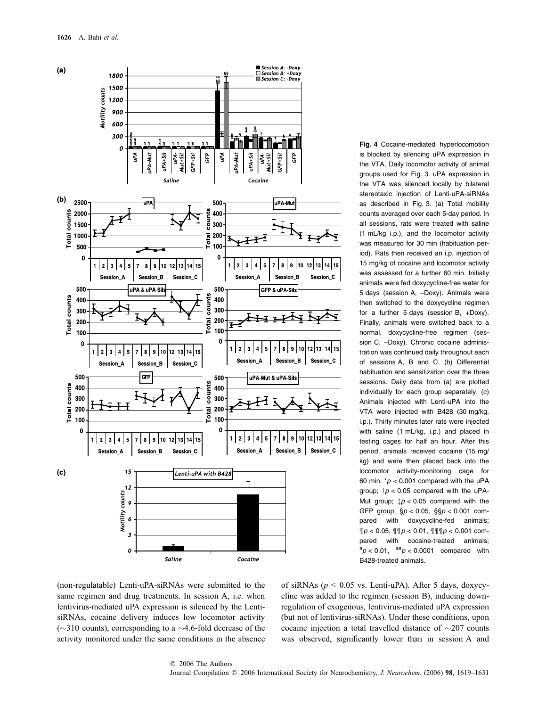

Fig. 4 Cocaine-mediated hyperlocomotion is blocked by silencing uPA expression in the VTA. Daily locomotor activity of animal groups used for Fig. 3. uPA expression in the VTA was silenced locally by bilateral stereotaxic injection of Lenti-uPA-siRNAs as described in Fig. 3. (a) Total mobility counts averaged over each 5-day period. In all sessions, rats were treated with saline (1 mL/kg i.p.), and the locomotor activity was measured for 30 min (habituation period). Rats then received an i.p. injection of 15 mg/kg of cocaine and locomotor activity was assessed for a further 60 min. Initially animals were fed doxycycline-free water for 5 days (session A, –Doxy). Animals were then switched to the doxycycline regimen for a further 5 days (session B, +Doxy). Finally, animals were switched back to a normal, doxycycline-free regimen (session C, –Doxy). Chronic cocaine administration was continued daily throughout each of sessions A, B and C. (b) Differential habituation and sensitization over the three sessions. Daily data from (a) are plotted individually for each group separately. (c) Animals injected with Lenti-uPA into the VTA were injected with B428 (30 mg/kg, i.p.). Thirty minutes later rats were injected with saline (1 mL/kg, i.p.) and placed in testing cages for half an hour. After this period, animals received cocaine (15 mg/ kg) and were then placed back into the locomotor activity-monitoring cage for 60 min.  $p < 0.001$  compared with the uPA group;  $\uparrow p$  < 0.05 compared with the uPA-Mut group;  $\uparrow p$  < 0.05 compared with the GFP group;  $§p < 0.05$ ,  $§$ § $p < 0.001$  compared with doxycycline-fed animals;  $\P p$  < 0.05,  $\P \ P$  < 0.01,  $\P \ P$  = 0.001 compared with cocaine-treated animals;  ${}^{a}p$  < 0.01,  ${}^{aa}p$  < 0.0001 compared with B428-treated animals.

(non-regulatable) Lenti-uPA-siRNAs were submitted to the same regimen and drug treatments. In session A, i.e. when lentivirus-mediated uPA expression is silenced by the LentisiRNAs, cocaine delivery induces low locomotor activity  $(\sim]310$  counts), corresponding to a  $\sim$ 4.6-fold decrease of the activity monitored under the same conditions in the absence

of siRNAs ( $p < 0.05$  vs. Lenti-uPA). After 5 days, doxycycline was added to the regimen (session B), inducing downregulation of exogenous, lentivirus-mediated uPA expression (but not of lentivirus-siRNAs). Under these conditions, upon cocaine injection a total travelled distance of  $\sim$ 207 counts was observed, significantly lower than in session A and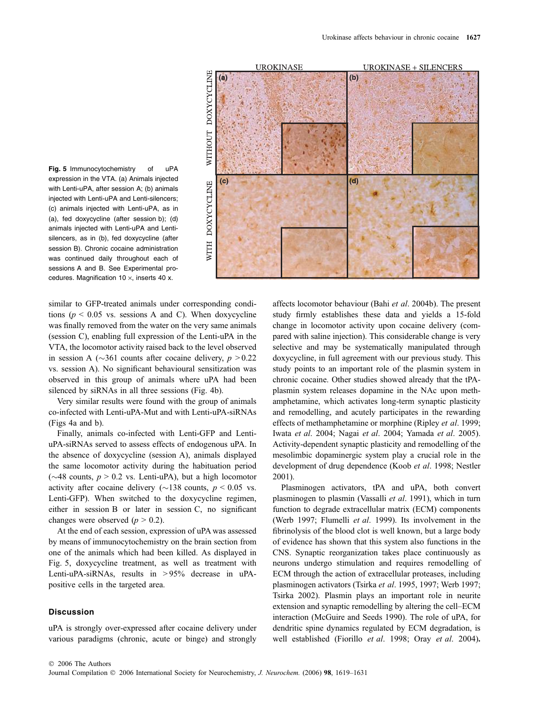

Fig. 5 Immunocytochemistry of uPA expression in the VTA. (a) Animals injected with Lenti-uPA, after session A: (b) animals injected with Lenti-uPA and Lenti-silencers; (c) animals injected with Lenti-uPA, as in (a), fed doxycycline (after session b); (d) animals injected with Lenti-uPA and Lentisilencers, as in (b), fed doxycycline (after session B). Chronic cocaine administration was continued daily throughout each of sessions A and B. See Experimental procedures. Magnification 10  $\times$ , inserts 40  $\times$ .

similar to GFP-treated animals under corresponding conditions ( $p < 0.05$  vs. sessions A and C). When doxycycline was finally removed from the water on the very same animals (session C), enabling full expression of the Lenti-uPA in the VTA, the locomotor activity raised back to the level observed in session A ( $\sim$ 361 counts after cocaine delivery,  $p > 0.22$ vs. session A). No significant behavioural sensitization was observed in this group of animals where uPA had been silenced by siRNAs in all three sessions (Fig. 4b).

Very similar results were found with the group of animals co-infected with Lenti-uPA-Mut and with Lenti-uPA-siRNAs (Figs 4a and b).

Finally, animals co-infected with Lenti-GFP and LentiuPA-siRNAs served to assess effects of endogenous uPA. In the absence of doxycycline (session A), animals displayed the same locomotor activity during the habituation period ( $\sim$ 48 counts,  $p > 0.2$  vs. Lenti-uPA), but a high locomotor activity after cocaine delivery ( $\sim$ 138 counts,  $p < 0.05$  vs. Lenti-GFP). When switched to the doxycycline regimen, either in session B or later in session C, no significant changes were observed  $(p > 0.2)$ .

At the end of each session, expression of uPA was assessed by means of immunocytochemistry on the brain section from one of the animals which had been killed. As displayed in Fig. 5, doxycycline treatment, as well as treatment with Lenti-uPA-siRNAs, results in > 95% decrease in uPApositive cells in the targeted area.

## Discussion

uPA is strongly over-expressed after cocaine delivery under various paradigms (chronic, acute or binge) and strongly affects locomotor behaviour (Bahi et al. 2004b). The present study firmly establishes these data and yields a 15-fold change in locomotor activity upon cocaine delivery (compared with saline injection). This considerable change is very selective and may be systematically manipulated through doxycycline, in full agreement with our previous study. This study points to an important role of the plasmin system in chronic cocaine. Other studies showed already that the tPAplasmin system releases dopamine in the NAc upon methamphetamine, which activates long-term synaptic plasticity and remodelling, and acutely participates in the rewarding effects of methamphetamine or morphine (Ripley et al. 1999; Iwata et al. 2004; Nagai et al. 2004; Yamada et al. 2005). Activity-dependent synaptic plasticity and remodelling of the mesolimbic dopaminergic system play a crucial role in the development of drug dependence (Koob et al. 1998; Nestler 2001).

Plasminogen activators, tPA and uPA, both convert plasminogen to plasmin (Vassalli et al. 1991), which in turn function to degrade extracellular matrix (ECM) components (Werb 1997; Flumelli et al. 1999). Its involvement in the fibrinolysis of the blood clot is well known, but a large body of evidence has shown that this system also functions in the CNS. Synaptic reorganization takes place continuously as neurons undergo stimulation and requires remodelling of ECM through the action of extracellular proteases, including plasminogen activators (Tsirka et al. 1995, 1997; Werb 1997; Tsirka 2002). Plasmin plays an important role in neurite extension and synaptic remodelling by altering the cell–ECM interaction (McGuire and Seeds 1990). The role of uPA, for dendritic spine dynamics regulated by ECM degradation, is well established (Fiorillo et al. 1998; Oray et al. 2004).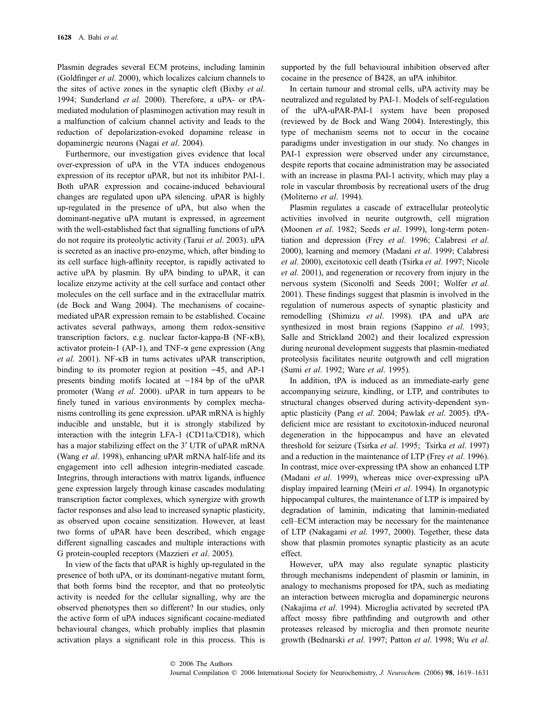Plasmin degrades several ECM proteins, including laminin (Goldfinger et al. 2000), which localizes calcium channels to the sites of active zones in the synaptic cleft (Bixby *et al.*) 1994; Sunderland et al. 2000). Therefore, a uPA- or tPAmediated modulation of plasminogen activation may result in a malfunction of calcium channel activity and leads to the reduction of depolarization-evoked dopamine release in dopaminergic neurons (Nagai et al. 2004).

Furthermore, our investigation gives evidence that local over-expression of uPA in the VTA induces endogenous expression of its receptor uPAR, but not its inhibitor PAI-1. Both uPAR expression and cocaine-induced behavioural changes are regulated upon uPA silencing. uPAR is highly up-regulated in the presence of uPA, but also when the dominant-negative uPA mutant is expressed, in agreement with the well-established fact that signalling functions of uPA do not require its proteolytic activity (Tarui et al. 2003). uPA is secreted as an inactive pro-enzyme, which, after binding to its cell surface high-affinity receptor, is rapidly activated to active uPA by plasmin. By uPA binding to uPAR, it can localize enzyme activity at the cell surface and contact other molecules on the cell surface and in the extracellular matrix (de Bock and Wang 2004). The mechanisms of cocainemediated uPAR expression remain to be established. Cocaine activates several pathways, among them redox-sensitive transcription factors, e.g. nuclear factor-kappa-B ( $NF$ - $\kappa$ B), activator protein-1 (AP-1), and TNF-a gene expression (Ang et al. 2001). NF- $\kappa$ B in turns activates uPAR transcription, binding to its promoter region at position  $-45$ , and AP-1 presents binding motifs located at  $-184$  bp of the uPAR promoter (Wang et al. 2000). uPAR in turn appears to be finely tuned in various environments by complex mechanisms controlling its gene expression. uPAR mRNA is highly inducible and unstable, but it is strongly stabilized by interaction with the integrin LFA-1 (CD11a/CD18), which has a major stabilizing effect on the 3' UTR of uPAR mRNA (Wang et al. 1998), enhancing uPAR mRNA half-life and its engagement into cell adhesion integrin-mediated cascade. Integrins, through interactions with matrix ligands, influence gene expression largely through kinase cascades modulating transcription factor complexes, which synergize with growth factor responses and also lead to increased synaptic plasticity, as observed upon cocaine sensitization. However, at least two forms of uPAR have been described, which engage different signalling cascades and multiple interactions with G protein-coupled receptors (Mazzieri et al. 2005).

In view of the facts that uPAR is highly up-regulated in the presence of both uPA, or its dominant-negative mutant form, that both forms bind the receptor, and that no proteolytic activity is needed for the cellular signalling, why are the observed phenotypes then so different? In our studies, only the active form of uPA induces significant cocaine-mediated behavioural changes, which probably implies that plasmin activation plays a significant role in this process. This is supported by the full behavioural inhibition observed after cocaine in the presence of B428, an uPA inhibitor.

In certain tumour and stromal cells, uPA activity may be neutralized and regulated by PAI-1. Models of self-regulation of the uPA-uPAR-PAI-1 system have been proposed (reviewed by de Bock and Wang 2004). Interestingly, this type of mechanism seems not to occur in the cocaine paradigms under investigation in our study. No changes in PAI-1 expression were observed under any circumstance, despite reports that cocaine administration may be associated with an increase in plasma PAI-1 activity, which may play a role in vascular thrombosis by recreational users of the drug (Moliterno et al. 1994).

Plasmin regulates a cascade of extracellular proteolytic activities involved in neurite outgrowth, cell migration (Moonen et al. 1982; Seeds et al. 1999), long-term potentiation and depression (Frey et al. 1996; Calabresi et al. 2000), learning and memory (Madani et al. 1999; Calabresi et al. 2000), excitotoxic cell death (Tsirka et al. 1997; Nicole et al. 2001), and regeneration or recovery from injury in the nervous system (Siconolfi and Seeds 2001; Wolfer et al. 2001). These findings suggest that plasmin is involved in the regulation of numerous aspects of synaptic plasticity and remodelling (Shimizu et al. 1998). tPA and uPA are synthesized in most brain regions (Sappino *et al.* 1993; Salle and Strickland 2002) and their localized expression during neuronal development suggests that plasmin-mediated proteolysis facilitates neurite outgrowth and cell migration (Sumi et al. 1992; Ware et al. 1995).

In addition, tPA is induced as an immediate-early gene accompanying seizure, kindling, or LTP, and contributes to structural changes observed during activity-dependent synaptic plasticity (Pang et al. 2004; Pawlak et al. 2005). tPAdeficient mice are resistant to excitotoxin-induced neuronal degeneration in the hippocampus and have an elevated threshold for seizure (Tsirka et al. 1995; Tsirka et al. 1997) and a reduction in the maintenance of LTP (Frey et al. 1996). In contrast, mice over-expressing tPA show an enhanced LTP (Madani et al. 1999), whereas mice over-expressing uPA display impaired learning (Meiri et al. 1994). In organotypic hippocampal cultures, the maintenance of LTP is impaired by degradation of laminin, indicating that laminin-mediated cell–ECM interaction may be necessary for the maintenance of LTP (Nakagami et al. 1997, 2000). Together, these data show that plasmin promotes synaptic plasticity as an acute effect.

However, uPA may also regulate synaptic plasticity through mechanisms independent of plasmin or laminin, in analogy to mechanisms proposed for tPA, such as mediating an interaction between microglia and dopaminergic neurons (Nakajima et al. 1994). Microglia activated by secreted tPA affect mossy fibre pathfinding and outgrowth and other proteases released by microglia and then promote neurite growth (Bednarski et al. 1997; Patton et al. 1998; Wu et al.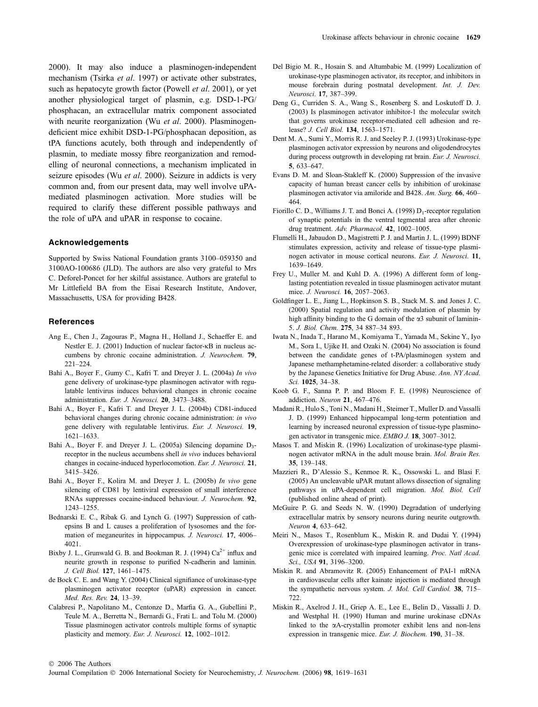2000). It may also induce a plasminogen-independent mechanism (Tsirka et al. 1997) or activate other substrates, such as hepatocyte growth factor (Powell *et al.* 2001), or yet another physiological target of plasmin, e.g. DSD-1-PG/ phosphacan, an extracellular matrix component associated with neurite reorganization (Wu et al. 2000). Plasminogendeficient mice exhibit DSD-1-PG/phosphacan deposition, as tPA functions acutely, both through and independently of plasmin, to mediate mossy fibre reorganization and remodelling of neuronal connections, a mechanism implicated in seizure episodes (Wu et al. 2000). Seizure in addicts is very common and, from our present data, may well involve uPAmediated plasminogen activation. More studies will be required to clarify these different possible pathways and the role of uPA and uPAR in response to cocaine.

#### Acknowledgements

Supported by Swiss National Foundation grants 3100–059350 and 3100AO-100686 (JLD). The authors are also very grateful to Mrs C. Deforel-Poncet for her skilful assistance. Authors are grateful to Mr Littlefield BA from the Eisai Research Institute, Andover, Massachusetts, USA for providing B428.

#### References

- Ang E., Chen J., Zagouras P., Magna H., Holland J., Schaeffer E. and Nestler E. J. (2001) Induction of nuclear factor- $\kappa$ B in nucleus accumbens by chronic cocaine administration. J. Neurochem. 79, 221–224.
- Bahi A., Boyer F., Gumy C., Kafri T. and Dreyer J. L. (2004a) In vivo gene delivery of urokinase-type plasminogen activator with regulatable lentivirus induces behavioral changes in chronic cocaine administration. Eur. J. Neurosci. 20, 3473–3488.
- Bahi A., Boyer F., Kafri T. and Dreyer J. L. (2004b) CD81-induced behavioral changes during chronic cocaine administration: in vivo gene delivery with regulatable lentivirus. Eur. J. Neurosci. 19, 1621–1633.
- Bahi A., Boyer F. and Dreyer J. L. (2005a) Silencing dopamine D<sub>3</sub>receptor in the nucleus accumbens shell in vivo induces behavioral changes in cocaine-induced hyperlocomotion. Eur. J. Neurosci. 21, 3415–3426.
- Bahi A., Boyer F., Kolira M. and Dreyer J. L. (2005b) In vivo gene silencing of CD81 by lentiviral expression of small interference RNAs suppresses cocaine-induced behaviour. J. Neurochem. 92, 1243–1255.
- Bednarski E. C., Ribak G. and Lynch G. (1997) Suppression of cathepsins B and L causes a proliferation of lysosomes and the formation of meganeurites in hippocampus. J. Neurosci. 17, 4006– 4021.
- Bixby J. L., Grunwald G. B. and Bookman R. J. (1994)  $Ca<sup>2+</sup>$  influx and neurite growth in response to purified N-cadherin and laminin. J. Cell Biol. 127, 1461–1475.
- de Bock C. E. and Wang Y. (2004) Clinical signifiance of urokinase-type plasminogen activator receptor (uPAR) expression in cancer. Med. Res. Rev. 24, 13–39.
- Calabresi P., Napolitano M., Centonze D., Marfia G. A., Gubellini P., Teule M. A., Berretta N., Bernardi G., Frati L. and Tolu M. (2000) Tissue plasminogen activator controls multiple forms of synaptic plasticity and memory. Eur. J. Neurosci. 12, 1002-1012.
- Del Bigio M. R., Hosain S. and Altumbabic M. (1999) Localization of urokinase-type plasminogen activator, its receptor, and inhibitors in mouse forebrain during postnatal development. Int. J. Dev. Neurosci. 17, 387–399.
- Deng G., Curriden S. A., Wang S., Rosenberg S. and Loskutoff D. J. (2003) Is plasminogen activator inhibitor-1 the molecular switch that governs urokinase receptor-mediated cell adhesion and release? J. Cell Biol. 134, 1563–1571.
- Dent M. A., Sumi Y., Morris R. J. and Seeley P. J. (1993) Urokinase-type plasminogen activator expression by neurons and oligodendrocytes during process outgrowth in developing rat brain. Eur. J. Neurosci. 5, 633–647.
- Evans D. M. and Sloan-Stakleff K. (2000) Suppression of the invasive capacity of human breast cancer cells by inhibition of urokinase plasminogen activator via amiloride and B428. Am. Surg. 66, 460– 464.
- Fiorillo C. D., Williams J. T. and Bonci A. (1998)  $D_1$ -receptor regulation of synaptic potentials in the ventral tegmental area after chronic drug treatment. Adv. Pharmacol. 42, 1002–1005.
- Flumelli H., Jabaudon D., Magistretti P. J. and Martin J. L. (1999) BDNF stimulates expression, activity and release of tissue-type plasminogen activator in mouse cortical neurons. Eur. J. Neurosci. 11, 1639–1649.
- Frey U., Muller M. and Kuhl D. A. (1996) A different form of longlasting potentiation revealed in tissue plasminogen activator mutant mice. J. Neurosci. 16, 2057–2063.
- Goldfinger L. E., Jiang L., Hopkinson S. B., Stack M. S. and Jones J. C. (2000) Spatial regulation and activity modulation of plasmin by high affinity binding to the G domain of the  $\alpha$ 3 subunit of laminin-5. J. Biol. Chem. 275, 34 887–34 893.
- Iwata N., Inada T., Harano M., Komiyama T., Yamada M., Sekine Y., Iyo M., Sora I., Ujike H. and Ozaki N. (2004) No association is found between the candidate genes of t-PA/plasminogen system and Japanese methamphetamine-related disorder: a collaborative study by the Japanese Genetics Initiative for Drug Abuse. Ann. NY Acad. Sci. 1025, 34–38.
- Koob G. F., Sanna P. P. and Bloom F. E. (1998) Neuroscience of addiction. Neuron 21, 467–476.
- Madani R., Hulo S., Toni N., Madani H., Steimer T., Muller D. and Vassalli J. D. (1999) Enhanced hippocampal long-term potentiation and learning by increased neuronal expression of tissue-type plasminogen activator in transgenic mice. EMBO J. 18, 3007–3012.
- Masos T. and Miskin R. (1996) Localization of urokinase-type plasminogen activator mRNA in the adult mouse brain. Mol. Brain Res. 35, 139–148.
- Mazzieri R., D'Alessio S., Kenmoe R. K., Ossowski L. and Blasi F. (2005) An uncleavable uPAR mutant allows dissection of signaling pathways in uPA-dependent cell migration. Mol. Biol. Cell (published online ahead of print).
- McGuire P. G. and Seeds N. W. (1990) Degradation of underlying extracellular matrix by sensory neurons during neurite outgrowth. Neuron 4, 633–642.
- Meiri N., Masos T., Rosenblum K., Miskin R. and Dudai Y. (1994) Overexpression of urokinase-type plasminogen activator in transgenic mice is correlated with impaired learning. Proc. Natl Acad. Sci., USA 91, 3196–3200.
- Miskin R. and Abramovitz R. (2005) Enhancement of PAI-1 mRNA in cardiovascular cells after kainate injection is mediated through the sympathetic nervous system. J. Mol. Cell Cardiol. 38, 715– 722.
- Miskin R., Axelrod J. H., Griep A. E., Lee E., Belin D., Vassalli J. D. and Westphal H. (1990) Human and murine urokinase cDNAs linked to the aA-crystallin promoter exhibit lens and non-lens expression in transgenic mice. Eur. J. Biochem. 190, 31–38.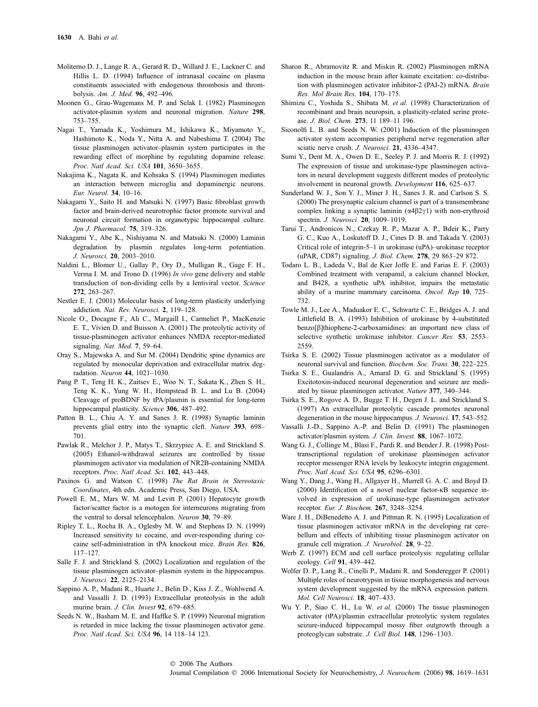- Moliterno D. J., Lange R. A., Gerard R. D., Willard J. E., Lackner C. and Hillis L. D. (1994) Influence of intranasal cocaine on plasma constituents associated with endogenous thrombosis and thrombolysis. Am. J. Med. 96, 492–496.
- Moonen G., Grau-Wagemans M. P. and Selak I. (1982) Plasminogen activator-plasmin system and neuronal migration. Nature 298, 753–755.
- Nagai T., Yamada K., Yoshimura M., Ishikawa K., Miyamoto Y., Hashimoto K., Noda Y., Nitta A. and Nabeshima T. (2004) The tissue plasminogen activator–plasmin system participates in the rewarding effect of morphine by regulating dopamine release. Proc. Natl Acad. Sci. USA 101, 3650–3655.
- Nakajima K., Nagata K. and Kohsaka S. (1994) Plasminogen mediates an interaction between microglia and dopaminergic neurons. Eur. Neurol. 34, 10–16.
- Nakagami Y., Saito H. and Matsuki N. (1997) Basic fibroblast growth factor and brain-derived neurotrophic factor promote survival and neuronal circuit formation in organotypic hippocampal culture. Jpn J. Pharmacol. 75, 319–326.
- Nakagami Y., Abe K., Nishiyama N. and Matsuki N. (2000) Laminin degradation by plasmin regulates long-term potentiation. J. Neurosci. 20, 2003–2010.
- Naldini L., Blomer U., Gallay P., Ory D., Mulligan R., Gage F. H., Verma I. M. and Trono D. (1996) In vivo gene delivery and stable transduction of non-dividing cells by a lentiviral vector. Science 272, 263–267.
- Nestler E. J. (2001) Molecular basis of long-term plasticity underlying addiction. Nat. Rev. Neurosci. 2, 119–128.
- Nicole O., Docagne F., Ali C., Margaill I., Carmeliet P., MacKenzie E. T., Vivien D. and Buisson A. (2001) The proteolytic activity of tissue-plasminogen activator enhances NMDA receptor-mediated signaling. Nat. Med. 7, 59–64.
- Oray S., Majewska A. and Sur M. (2004) Dendritic spine dynamics are regulated by monocular deprivation and extracellular matrix degradation. Neuron 44, 1021–1030.
- Pang P. T., Teng H. K., Zaitsev E., Woo N. T., Sakata K., Zhen S. H., Teng K. K., Yung W. H., Hempstead B. L. and Lu B. (2004) Cleavage of proBDNF by tPA/plasmin is essential for long-term hippocampal plasticity. Science 306, 487-492.
- Patton B. L., Chiu A. Y. and Sanes J. R. (1998) Synaptic laminin prevents glial entry into the synaptic cleft. Nature 393, 698– 701.
- Pawlak R., Melchor J. P., Matys T., Skrzypiec A. E. and Strickland S. (2005) Ethanol-withdrawal seizures are controlled by tissue plasminogen activator via modulation of NR2B-containing NMDA receptors. Proc. Natl Acad. Sci. 102, 443–448.
- Paxinos G. and Watson C. (1998) The Rat Brain in Stereotaxic Coordinates, 4th edn. Academic Press, San Diego, USA.
- Powell E. M., Mars W. M. and Levitt P. (2001) Hepatocyte growth factor/scatter factor is a motogen for interneurons migrating from the ventral to dorsal telencephalon. Neuron 30, 79–89.
- Ripley T. L., Rocha B. A., Oglesby M. W. and Stephens D. N. (1999) Increased sensitivity to cocaine, and over-responding during cocaine self-administration in tPA knockout mice. Brain Res. 826, 117–127.
- Salle F. J. and Strickland S. (2002) Localization and regulation of the tissue plasminogen activator–plasmin system in the hippocampus. J. Neurosci. 22, 2125–2134.
- Sappino A. P., Madani R., Huarte J., Belin D., Kiss J. Z., Wohlwend A. and Vassalli J. D. (1993) Extracellular proteolysis in the adult murine brain. J. Clin. Invest 92, 679-685.
- Seeds N. W., Basham M. E. and Haffke S. P. (1999) Neuronal migration is retarded in mice lacking the tissue plasminogen activator gene. Proc. Natl Acad. Sci. USA 96, 14 118–14 123.
- Sharon R., Abramovitz R. and Miskin R. (2002) Plasminogen mRNA induction in the mouse brain after kainate excitation: co-distribution with plasminogen activator inhibitor-2 (PAI-2) mRNA. Brain Res. Mol Brain Res. 104, 170–175.
- Shimizu C., Yoshida S., Shibata M. et al. (1998) Characterization of recombinant and brain neuropsin, a plasticity-related serine protease. J. Biol. Chem. 273, 11 189–11 196.
- Siconolfi L. B. and Seeds N. W. (2001) Induction of the plasminogen activator system accompanies peripheral nerve regeneration after sciatic nerve crush. J. Neurosci. 21, 4336–4347.
- Sumi Y., Dent M. A., Owen D. E., Seeley P. J. and Morris R. J. (1992) The expression of tissue and urokinase-type plasminogen activators in neural development suggests different modes of proteolytic involvement in neuronal growth. Development 116, 625–637.
- Sunderland W. J., Son Y. J., Miner J. H., Sanes J. R. and Carlson S. S. (2000) The presynaptic calcium channel is part of a transmembrane complex linking a synaptic laminin  $(\alpha 4\beta 2\gamma 1)$  with non-erythroid spectrin. *J. Neurosci*. **20**, 1009-1019.
- Tarui T., Andronicos N., Czekay R. P., Mazar A. P., Bdeir K., Parry G. C., Kuo A., Loskutoff D. J., Cines D. B. and Takada Y. (2003) Critical role of integrin-5–1 in urokinase (uPA)–urokinase receptor (uPAR, CD87) signaling. J. Biol. Chem. 278, 29 863–29 872.
- Todaro L. B., Ladeda V., Bal de Kier Joffe E. and Farias E. F. (2003) Combined treatment with verapamil, a calcium channel blocker, and B428, a synthetic uPA inhibitor, impairs the metastatic ability of a murine mammary carcinoma. Oncol. Rep 10, 725– 732.
- Towle M. J., Lee A., Maduakor E. C., Schwartz C. E., Bridges A. J. and Littlefield B. A. (1993) Inhibition of urokinase by 4-substituted  $benzo[\beta]$ thiophene-2-carboxamidines: an important new class of selective synthetic urokinase inhibitor. Cancer Res. 53, 2553-2559.
- Tsirka S. E. (2002) Tissue plasminogen activator as a modulator of neuronal survival and function. Biochem. Soc. Trans. 30, 222–225.
- Tsirka S. E., Gualandris A., Amaral D. G. and Strickland S. (1995) Excitotoxin-induced neuronal degeneration and seizure are mediated by tissue plasminogen activator. Nature 377, 340–344.
- Tsirka S. E., Rogove A. D., Bugge T. H., Degen J. L. and Strickland S. (1997) An extracellular proteolytic cascade promotes neuronal degeneration in the mouse hippocampus. J. Neurosci. 17, 543–552.
- Vassalli J.-D., Sappino A.-P. and Belin D. (1991) The plasminogen activator/plasmin system. J. Clin. Invest. 88, 1067–1072.
- Wang G. J., Collinge M., Blasi F., Pardi R. and Bender J. R. (1998) Posttranscriptional regulation of urokinase plasminogen activator receptor messenger RNA levels by leukocyte integrin engagement. Proc. Natl Acad. Sci. USA 95, 6296–6301.
- Wang Y., Dang J., Wang H., Allgayer H., Murrell G. A. C. and Boyd D. (2000) Identification of a novel nuclear factor- $\kappa$ B sequence involved in expression of urokinase-type plasminogen activator receptor. Eur. J. Biochem. 267, 3248–3254.
- Ware J. H., DiBenedetto A. J. and Pittman R. N. (1995) Localization of tissue plasminogen activator mRNA in the developing rat cerebellum and effects of inhibiting tissue plasminogen activator on granule cell migration. J. Neurobiol. 28, 9–22.
- Werb Z. (1997) ECM and cell surface proteolysis: regulating cellular ecology. Cell 91, 439–442.
- Wolfer D. P., Lang R., Cinelli P., Madani R. and Sonderegger P. (2001) Multiple roles of neurotrypsin in tissue morphogenesis and nervous system development suggested by the mRNA expression pattern. Mol. Cell Neurosci. 18, 407–433.
- Wu Y. P., Siao C. H., Lu W. et al. (2000) The tissue plasminogen activator (tPA)/plasmin extracellular proteolytic system regulates seizure-induced hippocampal mossy fiber outgrowth through a proteoglycan substrate. J. Cell Biol. 148, 1296–1303.